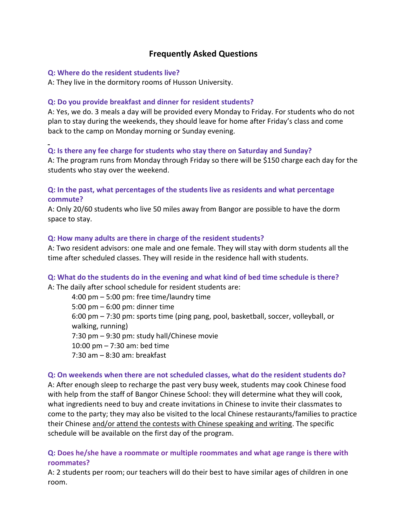# **Frequently Asked Questions**

#### **Q: Where do the resident students live?**

A: They live in the dormitory rooms of Husson University.

### **Q: Do you provide breakfast and dinner for resident students?**

A: Yes, we do. 3 meals a day will be provided every Monday to Friday. For students who do not plan to stay during the weekends, they should leave for home after Friday's class and come back to the camp on Monday morning or Sunday evening.

# **Q: Is there any fee charge for students who stay there on Saturday and Sunday?**

A: The program runs from Monday through Friday so there will be \$150 charge each day for the students who stay over the weekend.

## **Q: In the past, what percentages of the students live as residents and what percentage commute?**

A: Only 20/60 students who live 50 miles away from Bangor are possible to have the dorm space to stay.

### **Q: How many adults are there in charge of the resident students?**

A: Two resident advisors: one male and one female. They will stay with dorm students all the time after scheduled classes. They will reside in the residence hall with students.

# **Q: What do the students do in the evening and what kind of bed time schedule is there?**

A: The daily after school schedule for resident students are:

4:00 pm – 5:00 pm: free time/laundry time 5:00 pm – 6:00 pm: dinner time 6:00 pm – 7:30 pm: sports time (ping pang, pool, basketball, soccer, volleyball, or walking, running) 7:30 pm – 9:30 pm: study hall/Chinese movie 10:00 pm – 7:30 am: bed time 7:30 am – 8:30 am: breakfast

### **Q: On weekends when there are not scheduled classes, what do the resident students do?**

A: After enough sleep to recharge the past very busy week, students may cook Chinese food with help from the staff of Bangor Chinese School: they will determine what they will cook, what ingredients need to buy and create invitations in Chinese to invite their classmates to come to the party; they may also be visited to the local Chinese restaurants/families to practice their Chinese and/or attend the contests with Chinese speaking and writing. The specific schedule will be available on the first day of the program.

## **Q: Does he/she have a roommate or multiple roommates and what age range is there with roommates?**

A: 2 students per room; our teachers will do their best to have similar ages of children in one room.